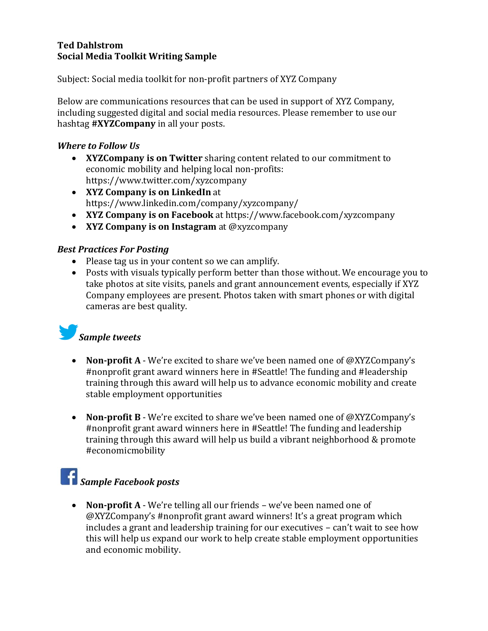### **Ted Dahlstrom Social Media Toolkit Writing Sample**

Subject: Social media toolkit for non-profit partners of XYZ Company

Below are communications resources that can be used in support of XYZ Company, including suggested digital and social media resources. Please remember to use our hashtag **#XYZCompany** in all your posts.

## *Where to Follow Us*

- **XYZCompany is on Twitter** sharing content related to our commitment to economic mobility and helping local non-profits: https://www.twitter.com/xyzcompany
- **XYZ Company is on LinkedIn** at https://www.linkedin.com/company/xyzcompany/
- **XYZ Company is on Facebook** at https://www.facebook.com/xyzcompany
- **XYZ Company is on Instagram** at @xyzcompany

### *Best Practices For Posting*

- Please tag us in your content so we can amplify.
- Posts with visuals typically perform better than those without. We encourage you to take photos at site visits, panels and grant announcement events, especially if XYZ Company employees are present. Photos taken with smart phones or with digital cameras are best quality.

## *Sample tweets*

- **Non-profit A** We're excited to share we've been named one of @XYZCompany's #nonprofit grant award winners here in #Seattle! The funding and #leadership training through this award will help us to advance economic mobility and create stable employment opportunities
- **Non-profit B** We're excited to share we've been named one of @XYZCompany's #nonprofit grant award winners here in #Seattle! The funding and leadership training through this award will help us build a vibrant neighborhood & promote #economicmobility

## *Sample Facebook posts*

• **Non-profit A** - We're telling all our friends – we've been named one of @XYZCompany's #nonprofit grant award winners! It's a great program which includes a grant and leadership training for our executives – can't wait to see how this will help us expand our work to help create stable employment opportunities and economic mobility.